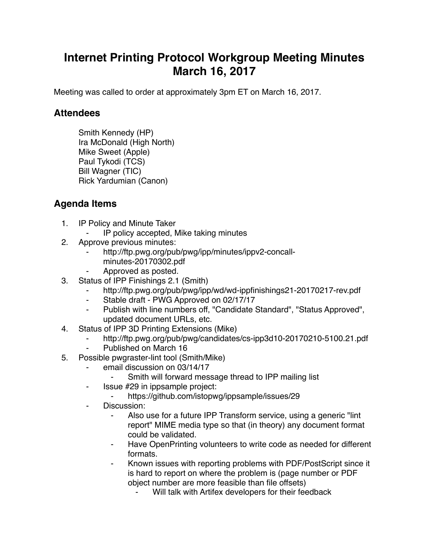## **Internet Printing Protocol Workgroup Meeting Minutes March 16, 2017**

Meeting was called to order at approximately 3pm ET on March 16, 2017.

## **Attendees**

Smith Kennedy (HP) Ira McDonald (High North) Mike Sweet (Apple) Paul Tykodi (TCS) Bill Wagner (TIC) Rick Yardumian (Canon)

## **Agenda Items**

- 1. IP Policy and Minute Taker
	- IP policy accepted, Mike taking minutes
- 2. Approve previous minutes:
	- http://ftp.pwg.org/pub/pwg/ipp/minutes/ippv2-concallminutes-20170302.pdf
	- Approved as posted.
- 3. Status of IPP Finishings 2.1 (Smith)
	- http://ftp.pwg.org/pub/pwg/ipp/wd/wd-ippfinishings21-20170217-rev.pdf
	- ⁃ Stable draft PWG Approved on 02/17/17
	- Publish with line numbers off, "Candidate Standard", "Status Approved", updated document URLs, etc.
- 4. Status of IPP 3D Printing Extensions (Mike)
	- ⁃ http://ftp.pwg.org/pub/pwg/candidates/cs-ipp3d10-20170210-5100.21.pdf
	- Published on March 16
- 5. Possible pwgraster-lint tool (Smith/Mike)
	- email discussion on 03/14/17
		- Smith will forward message thread to IPP mailing list
	- ⁃ Issue #29 in ippsample project:
		- https://github.com/istopwg/ippsample/issues/29
	- ⁃ Discussion:
		- Also use for a future IPP Transform service, using a generic "lint" report" MIME media type so that (in theory) any document format could be validated.
		- Have OpenPrinting volunteers to write code as needed for different formats.
		- ⁃ Known issues with reporting problems with PDF/PostScript since it is hard to report on where the problem is (page number or PDF object number are more feasible than file offsets)
			- Will talk with Artifex developers for their feedback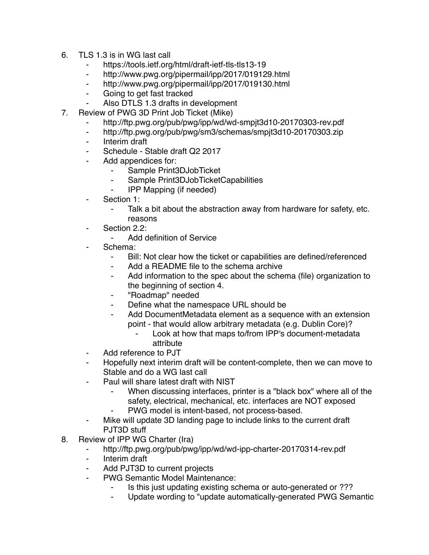- 6. TLS 1.3 is in WG last call
	- ⁃ https://tools.ietf.org/html/draft-ietf-tls-tls13-19
	- http://www.pwg.org/pipermail/ipp/2017/019129.html
	- ⁃ http://www.pwg.org/pipermail/ipp/2017/019130.html
	- ⁃ Going to get fast tracked
	- Also DTLS 1.3 drafts in development
- 7. Review of PWG 3D Print Job Ticket (Mike)
	- http://ftp.pwg.org/pub/pwg/ipp/wd/wd-smpjt3d10-20170303-rev.pdf
	- ⁃ http://ftp.pwg.org/pub/pwg/sm3/schemas/smpjt3d10-20170303.zip
	- ⁃ Interim draft
	- Schedule Stable draft Q2 2017
	- ⁃ Add appendices for:
		- Sample Print3DJobTicket
		- ⁃ Sample Print3DJobTicketCapabilities
		- **IPP Mapping (if needed)**
	- Section 1:
		- ⁃ Talk a bit about the abstraction away from hardware for safety, etc. reasons
	- Section 2.2:
		- Add definition of Service
	- Schema:
		- ⁃ Bill: Not clear how the ticket or capabilities are defined/referenced
		- Add a README file to the schema archive
		- ⁃ Add information to the spec about the schema (file) organization to the beginning of section 4.
		- ⁃ "Roadmap" needed
		- ⁃ Define what the namespace URL should be
		- Add DocumentMetadata element as a sequence with an extension point - that would allow arbitrary metadata (e.g. Dublin Core)?
			- Look at how that maps to/from IPP's document-metadata attribute
	- ⁃ Add reference to PJT
	- Hopefully next interim draft will be content-complete, then we can move to Stable and do a WG last call
	- ⁃ Paul will share latest draft with NIST
		- When discussing interfaces, printer is a "black box" where all of the safety, electrical, mechanical, etc. interfaces are NOT exposed
		- PWG model is intent-based, not process-based.
	- Mike will update 3D landing page to include links to the current draft PJT3D stuff
- 8. Review of IPP WG Charter (Ira)
	- ⁃ http://ftp.pwg.org/pub/pwg/ipp/wd/wd-ipp-charter-20170314-rev.pdf
	- ⁃ Interim draft
	- Add PJT3D to current projects
	- PWG Semantic Model Maintenance:
		- Is this just updating existing schema or auto-generated or ???
		- ⁃ Update wording to "update automatically-generated PWG Semantic